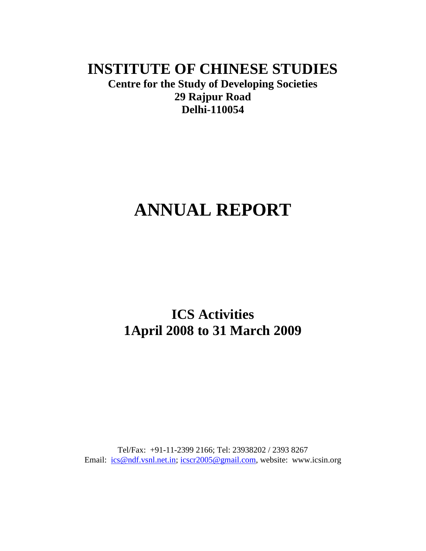# **INSTITUTE OF CHINESE STUDIES**

**Centre for the Study of Developing Societies 29 Rajpur Road Delhi-110054**

# **ANNUAL REPORT**

# **ICS Activities 1April 2008 to 31 March 2009**

Tel/Fax: +91-11-2399 2166; Tel: 23938202 / 2393 8267 Email: [ics@ndf.vsnl.net.in;](mailto:ics@ndf.vsnl.net.in) [icscr2005@gmail.com,](mailto:icscr2005@gmail.com) website: www.icsin.org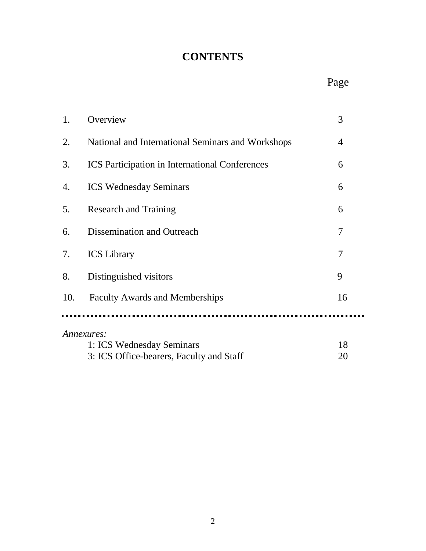# **CONTENTS**

# Page

| 1.  | Overview                                              | 3              |
|-----|-------------------------------------------------------|----------------|
| 2.  | National and International Seminars and Workshops     | $\overline{4}$ |
| 3.  | <b>ICS</b> Participation in International Conferences | 6              |
| 4.  | <b>ICS Wednesday Seminars</b>                         | 6              |
| 5.  | <b>Research and Training</b>                          | 6              |
| 6.  | Dissemination and Outreach                            | 7              |
| 7.  | <b>ICS</b> Library                                    | $\overline{7}$ |
| 8.  | Distinguished visitors                                | 9              |
| 10. | <b>Faculty Awards and Memberships</b>                 | 16             |
|     |                                                       |                |
|     | Annexures:                                            |                |
|     | 1: ICS Wednesday Seminars                             | 18             |
|     | 3: ICS Office-bearers, Faculty and Staff              | 20             |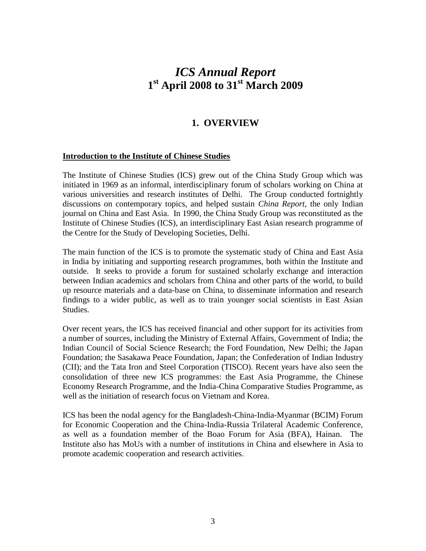## *ICS Annual Report* **1 st April 2008 to 31st March 2009**

## **1. OVERVIEW**

#### **Introduction to the Institute of Chinese Studies**

The Institute of Chinese Studies (ICS) grew out of the China Study Group which was initiated in 1969 as an informal, interdisciplinary forum of scholars working on China at various universities and research institutes of Delhi. The Group conducted fortnightly discussions on contemporary topics, and helped sustain *China Report*, the only Indian journal on China and East Asia. In 1990, the China Study Group was reconstituted as the Institute of Chinese Studies (ICS), an interdisciplinary East Asian research programme of the Centre for the Study of Developing Societies, Delhi.

The main function of the ICS is to promote the systematic study of China and East Asia in India by initiating and supporting research programmes, both within the Institute and outside. It seeks to provide a forum for sustained scholarly exchange and interaction between Indian academics and scholars from China and other parts of the world, to build up resource materials and a data-base on China, to disseminate information and research findings to a wider public, as well as to train younger social scientists in East Asian Studies.

Over recent years, the ICS has received financial and other support for its activities from a number of sources, including the Ministry of External Affairs, Government of India; the Indian Council of Social Science Research; the Ford Foundation, New Delhi; the Japan Foundation; the Sasakawa Peace Foundation, Japan; the Confederation of Indian Industry (CII); and the Tata Iron and Steel Corporation (TISCO). Recent years have also seen the consolidation of three new ICS programmes: the East Asia Programme, the Chinese Economy Research Programme, and the India-China Comparative Studies Programme, as well as the initiation of research focus on Vietnam and Korea.

ICS has been the nodal agency for the Bangladesh-China-India-Myanmar (BCIM) Forum for Economic Cooperation and the China-India-Russia Trilateral Academic Conference, as well as a foundation member of the Boao Forum for Asia (BFA), Hainan. The Institute also has MoUs with a number of institutions in China and elsewhere in Asia to promote academic cooperation and research activities.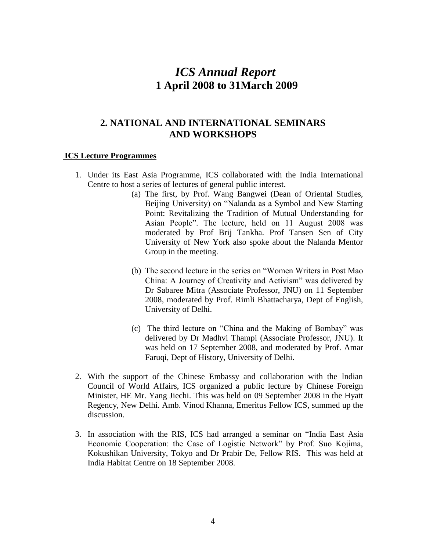## *ICS Annual Report* **1 April 2008 to 31March 2009**

## **2. NATIONAL AND INTERNATIONAL SEMINARS AND WORKSHOPS**

#### **ICS Lecture Programmes**

- 1. Under its East Asia Programme, ICS collaborated with the India International Centre to host a series of lectures of general public interest.
	- (a) The first, by Prof. Wang Bangwei (Dean of Oriental Studies, Beijing University) on "Nalanda as a Symbol and New Starting Point: Revitalizing the Tradition of Mutual Understanding for Asian People". The lecture, held on 11 August 2008 was moderated by Prof Brij Tankha. Prof Tansen Sen of City University of New York also spoke about the Nalanda Mentor Group in the meeting.
	- (b) The second lecture in the series on "Women Writers in Post Mao China: A Journey of Creativity and Activism" was delivered by Dr Sabaree Mitra (Associate Professor, JNU) on 11 September 2008, moderated by Prof. Rimli Bhattacharya, Dept of English, University of Delhi.
	- (c) The third lecture on "China and the Making of Bombay" was delivered by Dr Madhvi Thampi (Associate Professor, JNU). It was held on 17 September 2008, and moderated by Prof. Amar Faruqi, Dept of History, University of Delhi.
- 2. With the support of the Chinese Embassy and collaboration with the Indian Council of World Affairs, ICS organized a public lecture by Chinese Foreign Minister, HE Mr. Yang Jiechi. This was held on 09 September 2008 in the Hyatt Regency, New Delhi. Amb. Vinod Khanna, Emeritus Fellow ICS, summed up the discussion.
- 3. In association with the RIS, ICS had arranged a seminar on "India East Asia Economic Cooperation: the Case of Logistic Network" by Prof. Suo Kojima, Kokushikan University, Tokyo and Dr Prabir De, Fellow RIS. This was held at India Habitat Centre on 18 September 2008.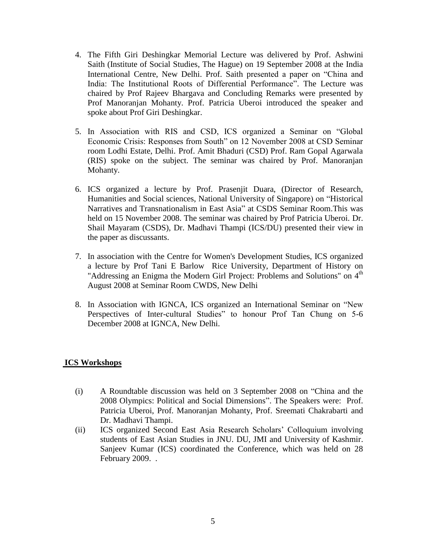- 4. The Fifth Giri Deshingkar Memorial Lecture was delivered by Prof. Ashwini Saith (Institute of Social Studies, The Hague) on 19 September 2008 at the India International Centre, New Delhi. Prof. Saith presented a paper on "China and India: The Institutional Roots of Differential Performance". The Lecture was chaired by Prof Rajeev Bhargava and Concluding Remarks were presented by Prof Manoranjan Mohanty. Prof. Patricia Uberoi introduced the speaker and spoke about Prof Giri Deshingkar.
- 5. In Association with RIS and CSD, ICS organized a Seminar on "Global Economic Crisis: Responses from South" on 12 November 2008 at CSD Seminar room Lodhi Estate, Delhi. Prof. Amit Bhaduri (CSD) Prof. Ram Gopal Agarwala (RIS) spoke on the subject. The seminar was chaired by Prof. Manoranjan Mohanty.
- 6. ICS organized a lecture by Prof. Prasenjit Duara, (Director of Research, Humanities and Social sciences, National University of Singapore) on "Historical Narratives and Transnationalism in East Asia" at CSDS Seminar Room.This was held on 15 November 2008. The seminar was chaired by Prof Patricia Uberoi. Dr. Shail Mayaram (CSDS), Dr. Madhavi Thampi (ICS/DU) presented their view in the paper as discussants.
- 7. In association with the Centre for Women's Development Studies, ICS organized a lecture by Prof Tani E Barlow Rice University, Department of History on "Addressing an Enigma the Modern Girl Project: Problems and Solutions" on 4<sup>th</sup> August 2008 at Seminar Room CWDS, New Delhi
- 8. In Association with IGNCA, ICS organized an International Seminar on "New Perspectives of Inter-cultural Studies" to honour Prof Tan Chung on 5-6 December 2008 at IGNCA, New Delhi.

#### **ICS Workshops**

- (i) A Roundtable discussion was held on 3 September 2008 on "China and the 2008 Olympics: Political and Social Dimensions". The Speakers were: Prof. Patricia Uberoi, Prof. Manoranjan Mohanty, Prof. Sreemati Chakrabarti and Dr. Madhavi Thampi.
- (ii) ICS organized Second East Asia Research Scholars" Colloquium involving students of East Asian Studies in JNU. DU, JMI and University of Kashmir. Sanjeev Kumar (ICS) coordinated the Conference, which was held on 28 February 2009. .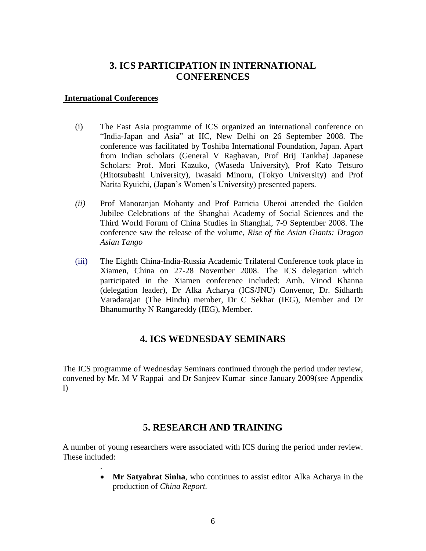## **3. ICS PARTICIPATION IN INTERNATIONAL CONFERENCES**

#### **International Conferences**

.

- (i) The East Asia programme of ICS organized an international conference on "India-Japan and Asia" at IIC, New Delhi on 26 September 2008. The conference was facilitated by Toshiba International Foundation, Japan. Apart from Indian scholars (General V Raghavan, Prof Brij Tankha) Japanese Scholars: Prof. Mori Kazuko, (Waseda University), Prof Kato Tetsuro (Hitotsubashi University), Iwasaki Minoru, (Tokyo University) and Prof Narita Ryuichi, (Japan"s Women"s University) presented papers.
- *(ii)* Prof Manoranjan Mohanty and Prof Patricia Uberoi attended the Golden Jubilee Celebrations of the Shanghai Academy of Social Sciences and the Third World Forum of China Studies in Shanghai, 7-9 September 2008. The conference saw the release of the volume, *Rise of the Asian Giants: Dragon Asian Tango*
- (iii) The Eighth China-India-Russia Academic Trilateral Conference took place in Xiamen, China on 27-28 November 2008. The ICS delegation which participated in the Xiamen conference included: Amb. Vinod Khanna (delegation leader), Dr Alka Acharya (ICS/JNU) Convenor, Dr. Sidharth Varadarajan (The Hindu) member, Dr C Sekhar (IEG), Member and Dr Bhanumurthy N Rangareddy (IEG), Member.

## **4. ICS WEDNESDAY SEMINARS**

The ICS programme of Wednesday Seminars continued through the period under review, convened by Mr. M V Rappai and Dr Sanjeev Kumar since January 2009(see Appendix I)

## **5. RESEARCH AND TRAINING**

A number of young researchers were associated with ICS during the period under review. These included:

> **Mr Satyabrat Sinha**, who continues to assist editor Alka Acharya in the production of *China Report.*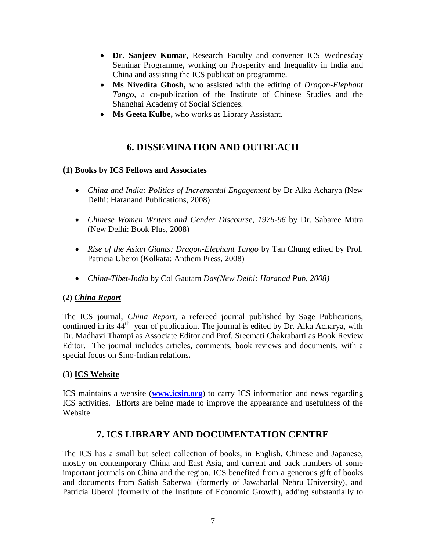- **Dr. Sanjeev Kumar**, Research Faculty and convener ICS Wednesday Seminar Programme, working on Prosperity and Inequality in India and China and assisting the ICS publication programme.
- **Ms Nivedita Ghosh,** who assisted with the editing of *Dragon-Elephant Tango*, a co-publication of the Institute of Chinese Studies and the Shanghai Academy of Social Sciences.
- **Ms Geeta Kulbe,** who works as Library Assistant.

## **6. DISSEMINATION AND OUTREACH**

## **(1) Books by ICS Fellows and Associates**

- *China and India: Politics of Incremental Engagement* by Dr Alka Acharya (New Delhi: Haranand Publications, 2008)
- *Chinese Women Writers and Gender Discourse, 1976-96* by Dr. Sabaree Mitra (New Delhi: Book Plus, 2008)
- *Rise of the Asian Giants: Dragon-Elephant Tango* by Tan Chung edited by Prof. Patricia Uberoi (Kolkata: Anthem Press, 2008)
- *China-Tibet-India* by Col Gautam *Das(New Delhi: Haranad Pub, 2008)*

## **(2)** *China Report*

The ICS journal, *China Report*, a refereed journal published by Sage Publications, continued in its 44<sup>th</sup> year of publication. The journal is edited by Dr. Alka Acharya, with Dr. Madhavi Thampi as Associate Editor and Prof. Sreemati Chakrabarti as Book Review Editor. The journal includes articles, comments, book reviews and documents, with a special focus on Sino-Indian relations**.**

## **(3) ICS Website**

ICS maintains a website (**[www.icsin.org](http://www.icsin.org/)**) to carry ICS information and news regarding ICS activities. Efforts are being made to improve the appearance and usefulness of the Website.

## **7. ICS LIBRARY AND DOCUMENTATION CENTRE**

The ICS has a small but select collection of books, in English, Chinese and Japanese, mostly on contemporary China and East Asia, and current and back numbers of some important journals on China and the region. ICS benefited from a generous gift of books and documents from Satish Saberwal (formerly of Jawaharlal Nehru University), and Patricia Uberoi (formerly of the Institute of Economic Growth), adding substantially to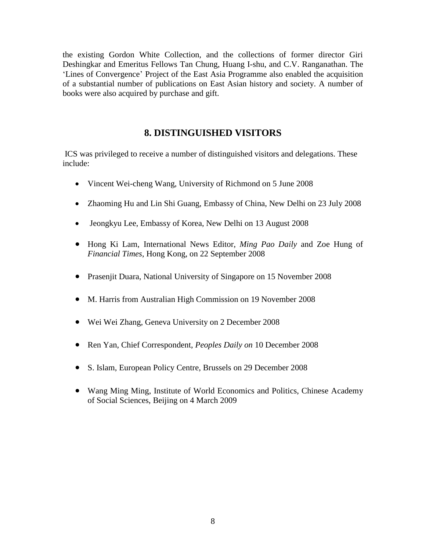the existing Gordon White Collection, and the collections of former director Giri Deshingkar and Emeritus Fellows Tan Chung, Huang I-shu, and C.V. Ranganathan. The 'Lines of Convergence' Project of the East Asia Programme also enabled the acquisition of a substantial number of publications on East Asian history and society. A number of books were also acquired by purchase and gift.

## **8. DISTINGUISHED VISITORS**

ICS was privileged to receive a number of distinguished visitors and delegations. These include:

- Vincent Wei-cheng Wang, University of Richmond on 5 June 2008
- Zhaoming Hu and Lin Shi Guang, Embassy of China, New Delhi on 23 July 2008
- Jeongkyu Lee, Embassy of Korea, New Delhi on 13 August 2008
- Hong Ki Lam, International News Editor, *Ming Pao Daily* and Zoe Hung of *Financial Times*, Hong Kong, on 22 September 2008
- Prasenjit Duara, National University of Singapore on 15 November 2008
- M. Harris from Australian High Commission on 19 November 2008
- Wei Wei Zhang, Geneva University on 2 December 2008
- Ren Yan, Chief Correspondent, *Peoples Daily on* 10 December 2008
- S. Islam, European Policy Centre, Brussels on 29 December 2008
- Wang Ming Ming, Institute of World Economics and Politics, Chinese Academy of Social Sciences, Beijing on 4 March 2009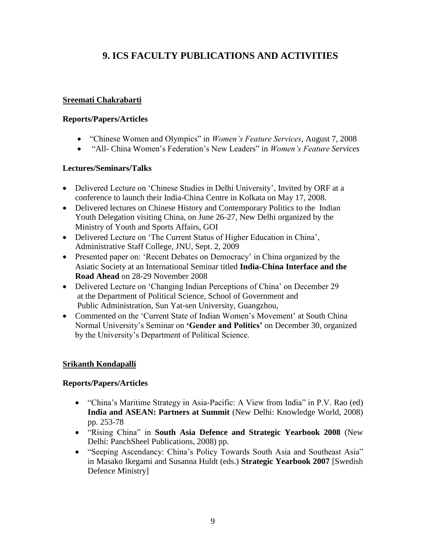## **9. ICS FACULTY PUBLICATIONS AND ACTIVITIES**

#### **Sreemati Chakrabarti**

#### **Reports/Papers/Articles**

- "Chinese Women and Olympics" in *Women's Feature Services*, August 7, 2008
- "All- China Women"s Federation"s New Leaders" in *Women's Feature Services*

## **Lectures/Seminars/Talks**

- Delivered Lecture on 'Chinese Studies in Delhi University', Invited by ORF at a conference to launch their India-China Centre in Kolkata on May 17, 2008.
- Delivered lectures on Chinese History and Contemporary Politics to the Indian Youth Delegation visiting China, on June 26-27, New Delhi organized by the Ministry of Youth and Sports Affairs, GOI
- Delivered Lecture on "The Current Status of Higher Education in China", Administrative Staff College, JNU, Sept. 2, 2009
- Presented paper on: 'Recent Debates on Democracy' in China organized by the Asiatic Society at an International Seminar titled **India-China Interface and the Road Ahead** on 28-29 November 2008
- Delivered Lecture on 'Changing Indian Perceptions of China' on December 29 at the Department of Political Science, School of Government and Public Administration, Sun Yat-sen University, Guangzhou,
- Commented on the 'Current State of Indian Women's Movement' at South China Normal University"s Seminar on **'Gender and Politics'** on December 30, organized by the University"s Department of Political Science.

## **Srikanth Kondapalli**

## **Reports/Papers/Articles**

- "China"s Maritime Strategy in Asia-Pacific: A View from India" in P.V. Rao (ed) **India and ASEAN: Partners at Summit** (New Delhi: Knowledge World, 2008) pp. 253-78
- "Rising China" in **South Asia Defence and Strategic Yearbook 2008** (New Delhi: PanchSheel Publications, 2008) pp.
- "Seeping Ascendancy: China"s Policy Towards South Asia and Southeast Asia" in Masako Ikegami and Susanna Huldt (eds.) **Strategic Yearbook 2007** [Swedish Defence Ministry]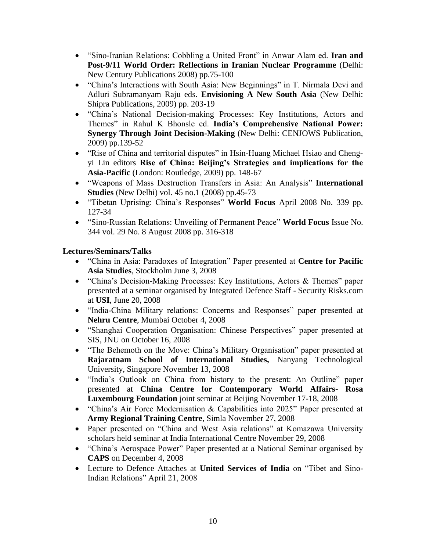- "Sino-Iranian Relations: Cobbling a United Front" in Anwar Alam ed. **Iran and Post-9/11 World Order: Reflections in Iranian Nuclear Programme** (Delhi: New Century Publications 2008) pp.75-100
- "China"s Interactions with South Asia: New Beginnings" in T. Nirmala Devi and Adluri Subramanyam Raju eds. **Envisioning A New South Asia** (New Delhi: Shipra Publications, 2009) pp. 203-19
- "China"s National Decision-making Processes: Key Institutions, Actors and Themes" in Rahul K Bhonsle ed. **India's Comprehensive National Power: Synergy Through Joint Decision-Making** (New Delhi: CENJOWS Publication, 2009) pp.139-52
- "Rise of China and territorial disputes" in Hsin-Huang Michael Hsiao and Chengyi Lin editors **Rise of China: Beijing's Strategies and implications for the Asia-Pacific** (London: Routledge, 2009) pp. 148-67
- "Weapons of Mass Destruction Transfers in Asia: An Analysis" **International Studies** (New Delhi) vol. 45 no.1 (2008) pp.45-73
- "Tibetan Uprising: China"s Responses" **World Focus** April 2008 No. 339 pp. 127-34
- "Sino-Russian Relations: Unveiling of Permanent Peace" **World Focus** Issue No. 344 vol. 29 No. 8 August 2008 pp. 316-318

- "China in Asia: Paradoxes of Integration" Paper presented at **Centre for Pacific Asia Studies**, Stockholm June 3, 2008
- "China's Decision-Making Processes: Key Institutions, Actors & Themes" paper presented at a seminar organised by Integrated Defence Staff - Security Risks.com at **USI**, June 20, 2008
- "India-China Military relations: Concerns and Responses" paper presented at **Nehru Centre**, Mumbai October 4, 2008
- "Shanghai Cooperation Organisation: Chinese Perspectives" paper presented at SIS, JNU on October 16, 2008
- "The Behemoth on the Move: China's Military Organisation" paper presented at **Rajaratnam School of International Studies,** Nanyang Technological University, Singapore November 13, 2008
- "India's Outlook on China from history to the present: An Outline" paper presented at **China Centre for Contemporary World Affairs- Rosa Luxembourg Foundation** joint seminar at Beijing November 17-18, 2008
- "China"s Air Force Modernisation & Capabilities into 2025" Paper presented at **Army Regional Training Centre**, Simla November 27, 2008
- Paper presented on "China and West Asia relations" at Komazawa University scholars held seminar at India International Centre November 29, 2008
- "China"s Aerospace Power" Paper presented at a National Seminar organised by **CAPS** on December 4, 2008
- Lecture to Defence Attaches at **United Services of India** on "Tibet and Sino-Indian Relations" April 21, 2008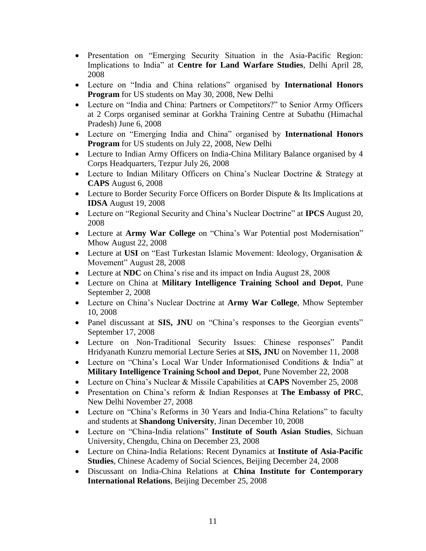- Presentation on "Emerging Security Situation in the Asia-Pacific Region: Implications to India" at **Centre for Land Warfare Studies**, Delhi April 28, 2008
- Lecture on "India and China relations" organised by **International Honors Program** for US students on May 30, 2008, New Delhi
- Lecture on "India and China: Partners or Competitors?" to Senior Army Officers at 2 Corps organised seminar at Gorkha Training Centre at Subathu (Himachal Pradesh) June 6, 2008
- Lecture on "Emerging India and China" organised by **International Honors Program** for US students on July 22, 2008, New Delhi
- Lecture to Indian Army Officers on India-China Military Balance organised by 4 Corps Headquarters, Tezpur July 26, 2008
- Lecture to Indian Military Officers on China's Nuclear Doctrine & Strategy at **CAPS** August 6, 2008
- Lecture to Border Security Force Officers on Border Dispute & Its Implications at **IDSA** August 19, 2008
- Lecture on "Regional Security and China"s Nuclear Doctrine" at **IPCS** August 20, 2008
- Lecture at **Army War College** on "China"s War Potential post Modernisation" Mhow August 22, 2008
- Lecture at **USI** on "East Turkestan Islamic Movement: Ideology, Organisation & Movement" August 28, 2008
- Lecture at **NDC** on China"s rise and its impact on India August 28, 2008
- Lecture on China at **Military Intelligence Training School and Depot**, Pune September 2, 2008
- Lecture on China"s Nuclear Doctrine at **Army War College**, Mhow September 10, 2008
- Panel discussant at **SIS, JNU** on "China's responses to the Georgian events" September 17, 2008
- Lecture on Non-Traditional Security Issues: Chinese responses" Pandit Hridyanath Kunzru memorial Lecture Series at **SIS, JNU** on November 11, 2008
- Lecture on "China"s Local War Under Informationised Conditions & India" at **Military Intelligence Training School and Depot**, Pune November 22, 2008
- Lecture on China"s Nuclear & Missile Capabilities at **CAPS** November 25, 2008
- Presentation on China"s reform & Indian Responses at **The Embassy of PRC**, New Delhi November 27, 2008
- Lecture on "China's Reforms in 30 Years and India-China Relations" to faculty and students at **Shandong University**, Jinan December 10, 2008
- Lecture on "China-India relations" **Institute of South Asian Studies**, Sichuan University, Chengdu, China on December 23, 2008
- Lecture on China-India Relations: Recent Dynamics at **Institute of Asia-Pacific Studies**, Chinese Academy of Social Sciences, Beijing December 24, 2008
- Discussant on India-China Relations at **China Institute for Contemporary International Relations**, Beijing December 25, 2008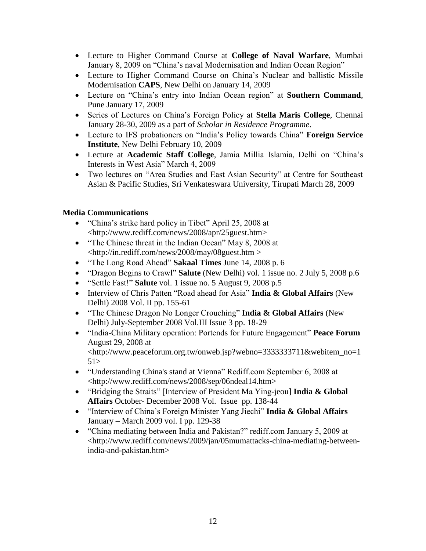- Lecture to Higher Command Course at **College of Naval Warfare**, Mumbai January 8, 2009 on "China"s naval Modernisation and Indian Ocean Region"
- Lecture to Higher Command Course on China"s Nuclear and ballistic Missile Modernisation **CAPS**, New Delhi on January 14, 2009
- Lecture on "China"s entry into Indian Ocean region" at **Southern Command**, Pune January 17, 2009
- Series of Lectures on China"s Foreign Policy at **Stella Maris College**, Chennai January 28-30, 2009 as a part of *Scholar in Residence Programme*.
- Lecture to IFS probationers on "India"s Policy towards China" **Foreign Service Institute**, New Delhi February 10, 2009
- Lecture at **Academic Staff College**, Jamia Millia Islamia, Delhi on "China"s Interests in West Asia" March 4, 2009
- Two lectures on "Area Studies and East Asian Security" at Centre for Southeast Asian & Pacific Studies, Sri Venkateswara University, Tirupati March 28, 2009

## **Media Communications**

- "China's strike hard policy in Tibet" April 25, 2008 at <http://www.rediff.com/news/2008/apr/25guest.htm>
- "The Chinese threat in the Indian Ocean" May 8, 2008 at <http://in.rediff.com/news/2008/may/08guest.htm >
- "The Long Road Ahead" **Sakaal Times** June 14, 2008 p. 6
- "Dragon Begins to Crawl" **Salute** (New Delhi) vol. 1 issue no. 2 July 5, 2008 p.6
- "Settle Fast!" **Salute** vol. 1 issue no. 5 August 9, 2008 p.5
- Interview of Chris Patten "Road ahead for Asia" **India & Global Affairs** (New Delhi) 2008 Vol. II pp. 155-61
- "The Chinese Dragon No Longer Crouching" **India & Global Affairs** (New Delhi) July-September 2008 Vol.III Issue 3 pp. 18-29
- "India-China Military operation: Portends for Future Engagement" **Peace Forum** August 29, 2008 at <http://www.peaceforum.org.tw/onweb.jsp?webno=3333333711&webitem\_no=1  $51>$
- "Understanding China's stand at Vienna" Rediff.com September 6, 2008 at <http://www.rediff.com/news/2008/sep/06ndeal14.htm>
- "Bridging the Straits" [Interview of President Ma Ying-jeou] **India & Global Affairs** October- December 2008 Vol. Issue pp. 138-44
- "Interview of China"s Foreign Minister Yang Jiechi" **India & Global Affairs** January – March 2009 vol. I pp. 129-38
- "China mediating between India and Pakistan?" rediff.com January 5, 2009 at <http://www.rediff.com/news/2009/jan/05mumattacks-china-mediating-betweenindia-and-pakistan.htm>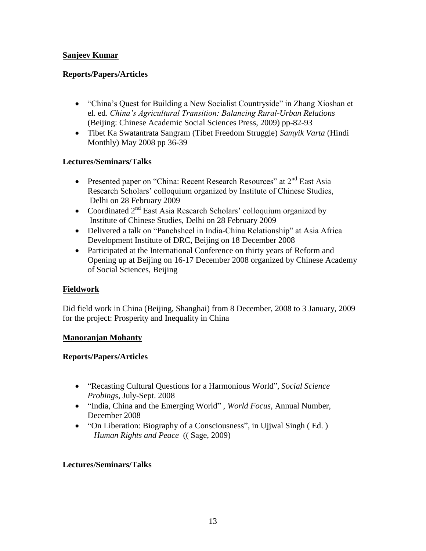## **Sanjeev Kumar**

## **Reports/Papers/Articles**

- "China's Quest for Building a New Socialist Countryside" in Zhang Xioshan et el. ed. *China's Agricultural Transition: Balancing Rural-Urban Relations* (Beijing: Chinese Academic Social Sciences Press, 2009) pp-82-93
- Tibet Ka Swatantrata Sangram (Tibet Freedom Struggle) *Samyik Varta* (Hindi Monthly) May 2008 pp 36-39

## **Lectures/Seminars/Talks**

- Presented paper on "China: Recent Research Resources" at 2<sup>nd</sup> East Asia Research Scholars' colloquium organized by Institute of Chinese Studies, Delhi on 28 February 2009
- Coordinated  $2<sup>nd</sup>$  East Asia Research Scholars' colloquium organized by Institute of Chinese Studies, Delhi on 28 February 2009
- Delivered a talk on "Panchsheel in India-China Relationship" at Asia Africa Development Institute of DRC, Beijing on 18 December 2008
- Participated at the International Conference on thirty years of Reform and Opening up at Beijing on 16-17 December 2008 organized by Chinese Academy of Social Sciences, Beijing

## **Fieldwork**

Did field work in China (Beijing, Shanghai) from 8 December, 2008 to 3 January, 2009 for the project: Prosperity and Inequality in China

## **Manoranjan Mohanty**

## **Reports/Papers/Articles**

- "Recasting Cultural Questions for a Harmonious World", *Social Science Probings*, July-Sept. 2008
- "India, China and the Emerging World" , *World Focus*, Annual Number, December 2008
- "On Liberation: Biography of a Consciousness", in Ujjwal Singh (Ed.) *Human Rights and Peace* (( Sage, 2009)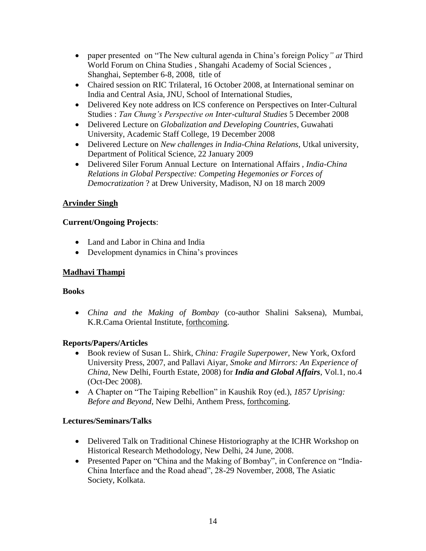- paper presented on "The New cultural agenda in China"s foreign Policy*" at* Third World Forum on China Studies , Shangahi Academy of Social Sciences , Shanghai, September 6-8, 2008, title of
- Chaired session on RIC Trilateral, 16 October 2008, at International seminar on India and Central Asia, JNU, School of International Studies,
- Delivered Key note address on ICS conference on Perspectives on Inter-Cultural Studies : *Tan Chung's Perspective on Inter-cultural Studies* 5 December 2008
- Delivered Lecture on *Globalization and Developing Countries*, Guwahati University, Academic Staff College, 19 December 2008
- Delivered Lecture on *New challenges in India-China Relations*, Utkal university, Department of Political Science, 22 January 2009
- Delivered Siler Forum Annual Lecture on International Affairs , *India-China Relations in Global Perspective: Competing Hegemonies or Forces of Democratization* ? at Drew University, Madison, NJ on 18 march 2009

## **Arvinder Singh**

## **Current/Ongoing Projects**:

- Land and Labor in China and India
- Development dynamics in China"s provinces

## **Madhavi Thampi**

## **Books**

 *China and the Making of Bombay* (co-author Shalini Saksena), Mumbai, K.R.Cama Oriental Institute, forthcoming.

## **Reports/Papers/Articles**

- Book review of Susan L. Shirk, *China: Fragile Superpower*, New York, Oxford University Press, 2007, and Pallavi Aiyar, *Smoke and Mirrors: An Experience of China*, New Delhi, Fourth Estate, 2008) for *India and Global Affairs*, Vol.1, no.4 (Oct-Dec 2008).
- A Chapter on "The Taiping Rebellion" in Kaushik Roy (ed.), *1857 Uprising: Before and Beyond*, New Delhi, Anthem Press, forthcoming.

- Delivered Talk on Traditional Chinese Historiography at the ICHR Workshop on Historical Research Methodology, New Delhi, 24 June, 2008.
- Presented Paper on "China and the Making of Bombay", in Conference on "India-China Interface and the Road ahead", 28-29 November, 2008, The Asiatic Society, Kolkata.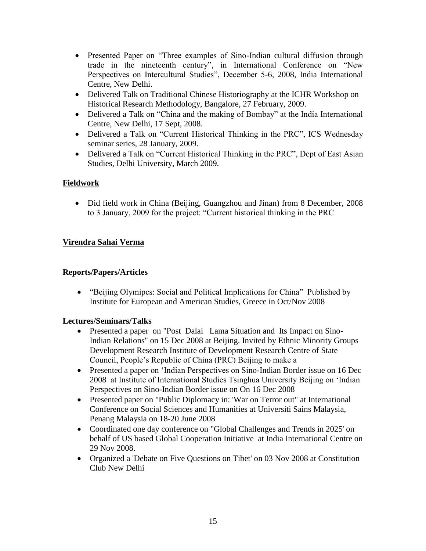- Presented Paper on "Three examples of Sino-Indian cultural diffusion through trade in the nineteenth century", in International Conference on "New Perspectives on Intercultural Studies", December 5-6, 2008, India International Centre, New Delhi.
- Delivered Talk on Traditional Chinese Historiography at the ICHR Workshop on Historical Research Methodology, Bangalore, 27 February, 2009.
- Delivered a Talk on "China and the making of Bombay" at the India International Centre, New Delhi, 17 Sept, 2008.
- Delivered a Talk on "Current Historical Thinking in the PRC", ICS Wednesday seminar series, 28 January, 2009.
- Delivered a Talk on "Current Historical Thinking in the PRC", Dept of East Asian Studies, Delhi University, March 2009.

## **Fieldwork**

• Did field work in China (Beijing, Guangzhou and Jinan) from 8 December, 2008 to 3 January, 2009 for the project: "Current historical thinking in the PRC

## **Virendra Sahai Verma**

## **Reports/Papers/Articles**

 "Beijing Olymipcs: Social and Political Implications for China" Published by Institute for European and American Studies, Greece in Oct/Nov 2008

- Presented a paper on "Post Dalai Lama Situation and Its Impact on Sino-Indian Relations" on 15 Dec 2008 at Beijing. Invited by Ethnic Minority Groups Development Research Institute of Development Research Centre of State Council, People"s Republic of China (PRC) Beijing to make a
- Presented a paper on "Indian Perspectives on Sino-Indian Border issue on 16 Dec 2008 at Institute of International Studies Tsinghua University Beijing on "Indian Perspectives on Sino-Indian Border issue on On 16 Dec 2008
- Presented paper on "Public Diplomacy in: 'War on Terror out" at International Conference on Social Sciences and Humanities at Universiti Sains Malaysia, Penang Malaysia on 18-20 June 2008
- Coordinated one day conference on "Global Challenges and Trends in 2025' on behalf of US based Global Cooperation Initiative at India International Centre on 29 Nov 2008.
- Organized a 'Debate on Five Questions on Tibet' on 03 Nov 2008 at Constitution Club New Delhi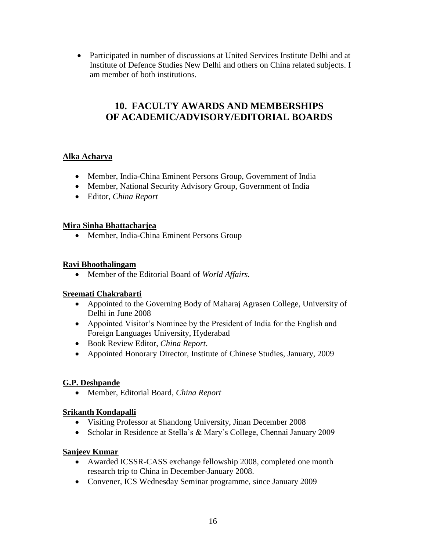Participated in number of discussions at United Services Institute Delhi and at Institute of Defence Studies New Delhi and others on China related subjects. I am member of both institutions.

## **10. FACULTY AWARDS AND MEMBERSHIPS OF ACADEMIC/ADVISORY/EDITORIAL BOARDS**

## **Alka Acharya**

- Member, India-China Eminent Persons Group, Government of India
- Member, National Security Advisory Group, Government of India
- Editor, *China Report*

## **Mira Sinha Bhattacharjea**

• Member, India-China Eminent Persons Group

#### **Ravi Bhoothalingam**

Member of the Editorial Board of *World Affairs.*

## **Sreemati Chakrabarti**

- Appointed to the Governing Body of Maharaj Agrasen College, University of Delhi in June 2008
- Appointed Visitor's Nominee by the President of India for the English and Foreign Languages University, Hyderabad
- Book Review Editor, *China Report*.
- Appointed Honorary Director, Institute of Chinese Studies, January, 2009

## **G.P. Deshpande**

Member, Editorial Board, *China Report*

## **Srikanth Kondapalli**

- Visiting Professor at Shandong University, Jinan December 2008
- Scholar in Residence at Stella"s & Mary"s College, Chennai January 2009

#### **Sanjeev Kumar**

- Awarded ICSSR-CASS exchange fellowship 2008, completed one month research trip to China in December-January 2008.
- Convener, ICS Wednesday Seminar programme, since January 2009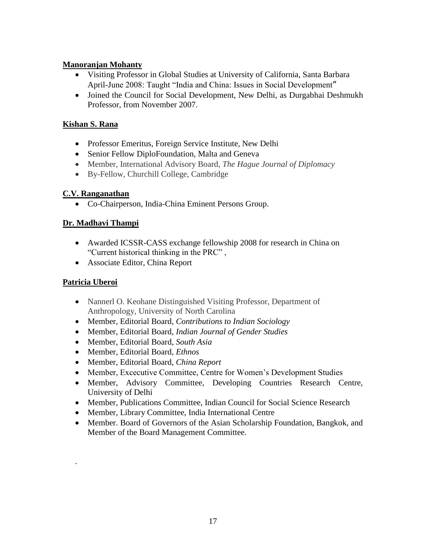## **Manoranjan Mohanty**

- Visiting Professor in Global Studies at University of California, Santa Barbara April-June 2008: Taught "India and China: Issues in Social Development"
- Joined the Council for Social Development, New Delhi, as Durgabhai Deshmukh Professor, from November 2007.

## **Kishan S. Rana**

- Professor Emeritus, Foreign Service Institute, New Delhi
- Senior Fellow DiploFoundation, Malta and Geneva
- Member, International Advisory Board, *The Hague Journal of Diplomacy*
- By-Fellow, Churchill College, Cambridge

## **C.V. Ranganathan**

Co-Chairperson, India-China Eminent Persons Group.

## **Dr. Madhavi Thampi**

- Awarded ICSSR-CASS exchange fellowship 2008 for research in China on "Current historical thinking in the PRC" ,
- Associate Editor, China Report

## **Patricia Uberoi**

.

- Nannerl O. Keohane Distinguished Visiting Professor, Department of Anthropology, University of North Carolina
- Member, Editorial Board, *Contributions to Indian Sociology*
- Member, Editorial Board, *Indian Journal of Gender Studies*
- Member, Editorial Board, *South Asia*
- Member, Editorial Board, *Ethnos*
- Member, Editorial Board, *China Report*
- Member, Excecutive Committee, Centre for Women"s Development Studies
- Member, Advisory Committee, Developing Countries Research Centre, University of Delhi
- Member, Publications Committee, Indian Council for Social Science Research
- Member, Library Committee, India International Centre
- Member. Board of Governors of the Asian Scholarship Foundation, Bangkok, and Member of the Board Management Committee.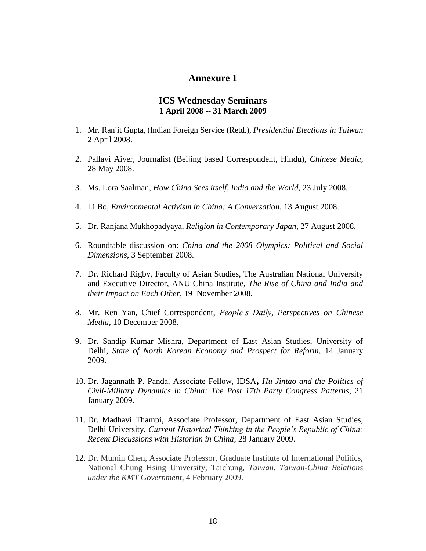## **Annexure 1**

#### **ICS Wednesday Seminars 1 April 2008 -- 31 March 2009**

- 1. Mr. Ranjit Gupta, (Indian Foreign Service (Retd.), *Presidential Elections in Taiwan* 2 April 2008.
- 2. Pallavi Aiyer, Journalist (Beijing based Correspondent, Hindu), *Chinese Media,* 28 May 2008.
- 3. Ms. Lora Saalman, *How China Sees itself, India and the World*, 23 July 2008.
- 4. Li Bo, *Environmental Activism in China: A Conversation*, 13 August 2008.
- 5. Dr. Ranjana Mukhopadyaya, *Religion in Contemporary Japan*, 27 August 2008.
- 6. Roundtable discussion on: *China and the 2008 Olympics: Political and Social Dimensions*, 3 September 2008.
- 7. Dr. Richard Rigby, Faculty of Asian Studies, The Australian National University and Executive Director, ANU China Institute, *The Rise of China and India and their Impact on Each Other*, 19 November 2008.
- 8. Mr. Ren Yan, Chief Correspondent, *People's Daily, Perspectives on Chinese Media*, 10 December 2008.
- 9. Dr. Sandip Kumar Mishra, Department of East Asian Studies, University of Delhi, *State of North Korean Economy and Prospect for Reform*, 14 January 2009.
- 10. Dr. Jagannath P. Panda, Associate Fellow, IDSA**,** *Hu Jintao and the Politics of Civil-Military Dynamics in China: The Post 17th Party Congress Patterns*, 21 January 2009.
- 11. Dr. Madhavi Thampi, Associate Professor, Department of East Asian Studies, Delhi University, *Current Historical Thinking in the People's Republic of China: Recent Discussions with Historian in China,* 28 January 2009.
- 12. Dr. Mumin Chen, Associate Professor, Graduate Institute of International Politics, National Chung Hsing University, Taichung, *Taiwan, Taiwan-China Relations under the KMT Government*, 4 February 2009.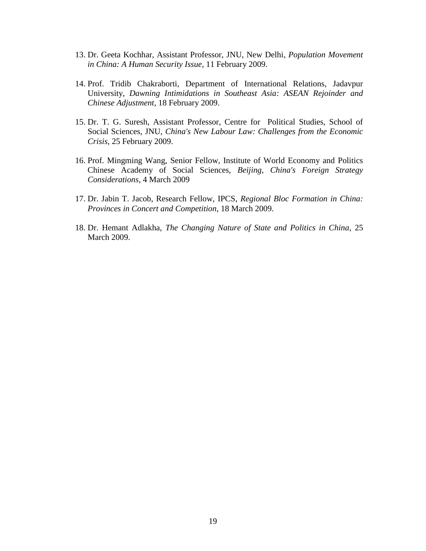- 13. Dr. Geeta Kochhar, Assistant Professor, JNU, New Delhi, *Population Movement in China: A Human Security Issue*, 11 February 2009.
- 14. Prof. Tridib Chakraborti, Department of International Relations, Jadavpur University, *Dawning Intimidations in Southeast Asia: ASEAN Rejoinder and Chinese Adjustment*, 18 February 2009.
- 15. Dr. T. G. Suresh, Assistant Professor, Centre for Political Studies, School of Social Sciences, JNU, *China's New Labour Law: Challenges from the Economic Crisis*, 25 February 2009.
- 16. Prof. Mingming Wang, Senior Fellow, Institute of World Economy and Politics Chinese Academy of Social Sciences, *Beijing, China's Foreign Strategy Considerations*, 4 March 2009
- 17. Dr. Jabin T. Jacob, Research Fellow, IPCS, *Regional Bloc Formation in China: Provinces in Concert and Competition*, 18 March 2009.
- 18. Dr. Hemant Adlakha, *The Changing Nature of State and Politics in China*, 25 March 2009.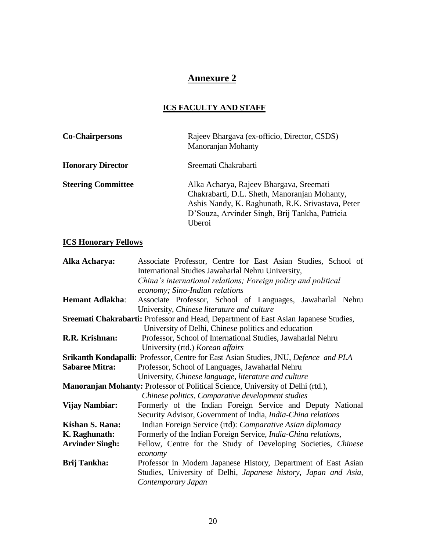## **Annexure 2**

## **ICS FACULTY AND STAFF**

| <b>Co-Chairpersons</b>    | Rajeev Bhargava (ex-officio, Director, CSDS)<br>Manoranjan Mohanty                                                                                                                                       |
|---------------------------|----------------------------------------------------------------------------------------------------------------------------------------------------------------------------------------------------------|
| <b>Honorary Director</b>  | Sreemati Chakrabarti                                                                                                                                                                                     |
| <b>Steering Committee</b> | Alka Acharya, Rajeev Bhargava, Sreemati<br>Chakrabarti, D.L. Sheth, Manoranjan Mohanty,<br>Ashis Nandy, K. Raghunath, R.K. Srivastava, Peter<br>D'Souza, Arvinder Singh, Brij Tankha, Patricia<br>Uberoi |

## **ICS Honorary Fellows**

| Alka Acharya:          | Associate Professor, Centre for East Asian Studies, School of                              |
|------------------------|--------------------------------------------------------------------------------------------|
|                        | International Studies Jawaharlal Nehru University,                                         |
|                        | China's international relations; Foreign policy and political                              |
|                        | economy; Sino-Indian relations                                                             |
| <b>Hemant Adlakha:</b> | Associate Professor, School of Languages, Jawaharlal Nehru                                 |
|                        | University, Chinese literature and culture                                                 |
|                        | Sreemati Chakrabarti: Professor and Head, Department of East Asian Japanese Studies,       |
|                        | University of Delhi, Chinese politics and education                                        |
| R.R. Krishnan:         | Professor, School of International Studies, Jawaharlal Nehru                               |
|                        | University (rtd.) Korean affairs                                                           |
|                        | <b>Srikanth Kondapalli:</b> Professor, Centre for East Asian Studies, JNU, Defence and PLA |
| <b>Sabaree Mitra:</b>  | Professor, School of Languages, Jawaharlal Nehru                                           |
|                        | University, Chinese language, literature and culture                                       |
|                        | <b>Manoranjan Mohanty:</b> Professor of Political Science, University of Delhi (rtd.),     |
|                        | Chinese politics, Comparative development studies                                          |
| <b>Vijay Nambiar:</b>  | Formerly of the Indian Foreign Service and Deputy National                                 |
|                        | Security Advisor, Government of India, India-China relations                               |
| Kishan S. Rana:        | Indian Foreign Service (rtd): Comparative Asian diplomacy                                  |
| K. Raghunath:          | Formerly of the Indian Foreign Service, India-China relations,                             |
| <b>Arvinder Singh:</b> | Fellow, Centre for the Study of Developing Societies, Chinese                              |
|                        | economy                                                                                    |
| <b>Brij Tankha:</b>    | Professor in Modern Japanese History, Department of East Asian                             |
|                        | Studies, University of Delhi, Japanese history, Japan and Asia,                            |
|                        | Contemporary Japan                                                                         |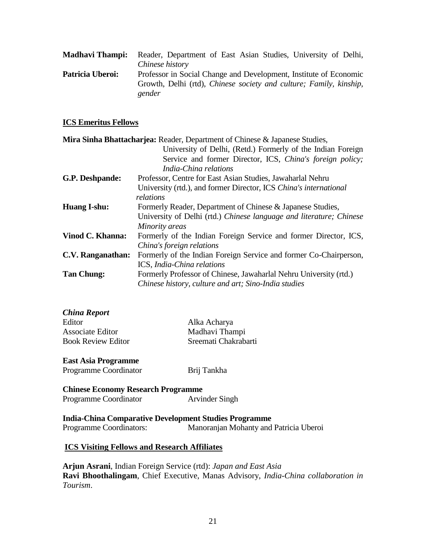| Madhavi Thampi:  | Reader, Department of East Asian Studies, University of Delhi,     |
|------------------|--------------------------------------------------------------------|
|                  | Chinese history                                                    |
| Patricia Uberoi: | Professor in Social Change and Development, Institute of Economic  |
|                  | Growth, Delhi (rtd), Chinese society and culture; Family, kinship, |
|                  | gender                                                             |

#### **ICS Emeritus Fellows**

|                     | Mira Sinha Bhattacharjea: Reader, Department of Chinese & Japanese Studies, |
|---------------------|-----------------------------------------------------------------------------|
|                     | University of Delhi, (Retd.) Formerly of the Indian Foreign                 |
|                     | Service and former Director, ICS, China's foreign policy;                   |
|                     | India-China relations                                                       |
| G.P. Deshpande:     | Professor, Centre for East Asian Studies, Jawaharlal Nehru                  |
|                     | University (rtd.), and former Director, ICS China's international           |
|                     | relations                                                                   |
| <b>Huang I-shu:</b> | Formerly Reader, Department of Chinese & Japanese Studies,                  |
|                     | University of Delhi (rtd.) Chinese language and literature; Chinese         |
|                     | Minority areas                                                              |
| Vinod C. Khanna:    | Formerly of the Indian Foreign Service and former Director, ICS,            |
|                     | China's foreign relations                                                   |
| C.V. Ranganathan:   | Formerly of the Indian Foreign Service and former Co-Chairperson,           |
|                     | ICS, India-China relations                                                  |
| <b>Tan Chung:</b>   | Formerly Professor of Chinese, Jawaharlal Nehru University (rtd.)           |
|                     | Chinese history, culture and art; Sino-India studies                        |

| Alka Acharya         |
|----------------------|
| Madhavi Thampi       |
| Sreemati Chakrabarti |
|                      |

#### **East Asia Programme**

| Programme Coordinator | Brij Tankha |
|-----------------------|-------------|
|-----------------------|-------------|

**Chinese Economy Research Programme** Programme Coordinator **Arvinder Singh** 

**India-China Comparative Development Studies Programme**  Programme Coordinators: Manoranjan Mohanty and Patricia Uberoi

#### **ICS Visiting Fellows and Research Affiliates**

**Arjun Asrani**, Indian Foreign Service (rtd): *Japan and East Asia* **Ravi Bhoothalingam**, Chief Executive, Manas Advisory, *India-China collaboration in Tourism*.